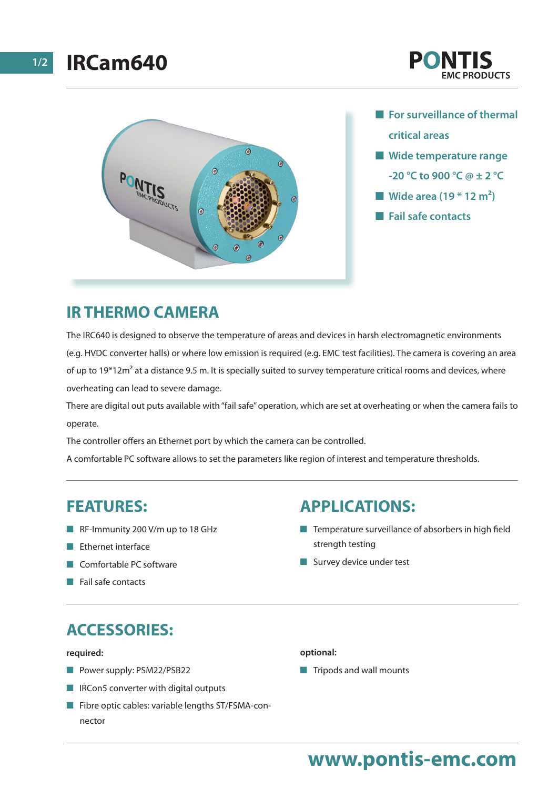



- **n** For surveillance of thermal **critical areas**
- $\blacksquare$  Wide temperature range **-20 °C to 900 °C @ ± 2 °C**
- Wide area (19 <sup>\*</sup> 12 m<sup>2</sup>)
- **n** Fail safe contacts

# **IR THERMO CAMERA**

The IRC640 is designed to observe the temperature of areas and devices in harsh electromagnetic environments (e.g. HVDC converter halls) or where low emission is required (e.g. EMC test facilities). The camera is covering an area of up to  $19*12m^2$  at a distance 9.5 m. It is specially suited to survey temperature critical rooms and devices, where overheating can lead to severe damage.

There are digital out puts available with "fail safe" operation, which are set at overheating or when the camera fails to operate.

The controller offers an Ethernet port by which the camera can be controlled.

A comfortable PC software allows to set the parameters like region of interest and temperature thresholds.

### **FEATURES:**

- $R$ F-Immunity 200 V/m up to 18 GHz
- $\blacksquare$  Ethernet interface
- **n** Comfortable PC software
- $\blacksquare$  Fail safe contacts

## **APPLICATIONS:**

- $\blacksquare$  Temperature surveillance of absorbers in high field strength testing
- $\blacksquare$  Survey device under test

# **ACCESSORIES:**

#### **required:**

- **n** Power supply: PSM22/PSB22
- $\blacksquare$  IRCon5 converter with digital outputs
- $\blacksquare$  Fibre optic cables: variable lengths ST/FSMA-connector

#### **optional:**

 $\blacksquare$  Tripods and wall mounts

# **www.pontis-emc.com**